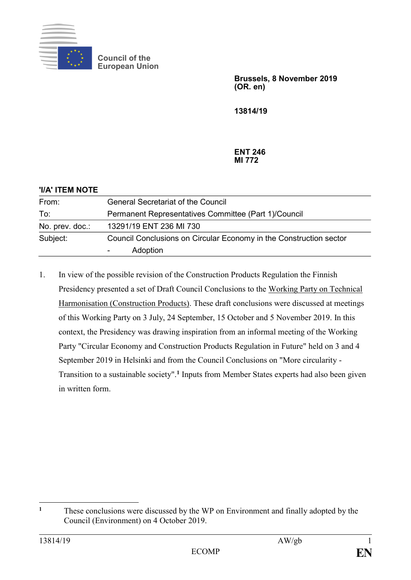

**Council of the European Union**

> **Brussels, 8 November 2019 (OR. en)**

**13814/19**

**ENT 246 MI 772**

| 'I/A' ITEM NOTE |                                                                                |
|-----------------|--------------------------------------------------------------------------------|
| From:           | <b>General Secretariat of the Council</b>                                      |
| To:             | Permanent Representatives Committee (Part 1)/Council                           |
| No. prev. doc.: | 13291/19 ENT 236 MI 730                                                        |
| Subject:        | Council Conclusions on Circular Economy in the Construction sector<br>Adoption |

1. In view of the possible revision of the Construction Products Regulation the Finnish Presidency presented a set of Draft Council Conclusions to the Working Party on Technical Harmonisation (Construction Products). These draft conclusions were discussed at meetings of this Working Party on 3 July, 24 September, 15 October and 5 November 2019. In this context, the Presidency was drawing inspiration from an informal meeting of the Working Party "Circular Economy and Construction Products Regulation in Future" held on 3 and 4 September 2019 in Helsinki and from the Council Conclusions on "More circularity - Transition to a sustainable society".**<sup>1</sup>** Inputs from Member States experts had also been given in written form.

 $\mathbf{1}$ **<sup>1</sup>** These conclusions were discussed by the WP on Environment and finally adopted by the Council (Environment) on 4 October 2019.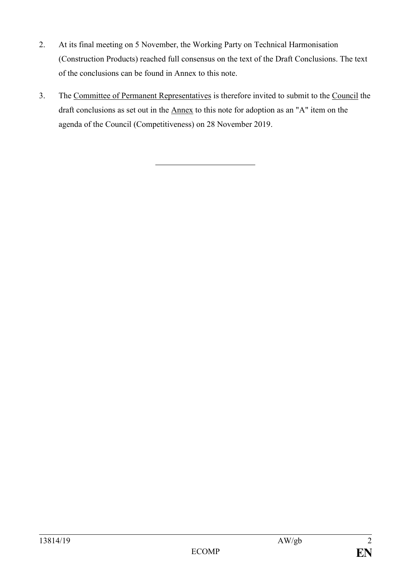- 2. At its final meeting on 5 November, the Working Party on Technical Harmonisation (Construction Products) reached full consensus on the text of the Draft Conclusions. The text of the conclusions can be found in Annex to this note.
- 3. The Committee of Permanent Representatives is therefore invited to submit to the Council the draft conclusions as set out in the Annex to this note for adoption as an "A" item on the agenda of the Council (Competitiveness) on 28 November 2019.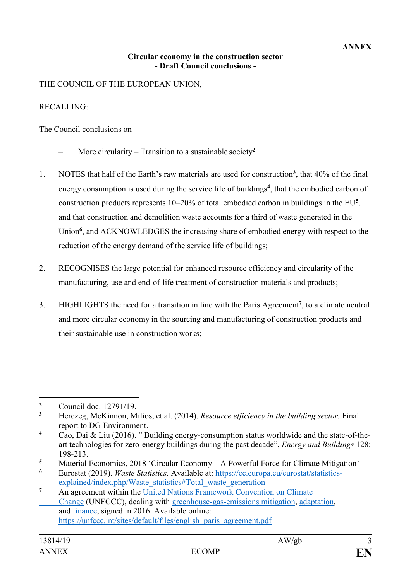## **ANNEX**

## **Circular economy in the construction sector - Draft Council conclusions -**

THE COUNCIL OF THE EUROPEAN UNION,

## RECALLING:

The Council conclusions on

- More circularity Transition to a sustainable society**<sup>2</sup>**
- 1. NOTES that half of the Earth's raw materials are used for construction**<sup>3</sup>** , that 40% of the final energy consumption is used during the service life of buildings**<sup>4</sup>** , that the embodied carbon of construction products represents 10–20% of total embodied carbon in buildings in the EU**<sup>5</sup>** , and that construction and demolition waste accounts for a third of waste generated in the Union<sup>6</sup>, and ACKNOWLEDGES the increasing share of embodied energy with respect to the reduction of the energy demand of the service life of buildings;
- 2. RECOGNISES the large potential for enhanced resource efficiency and circularity of the manufacturing, use and end-of-life treatment of construction materials and products;
- 3. HIGHLIGHTS the need for a transition in line with the Paris Agreement**<sup>7</sup>** , to a climate neutral and more circular economy in the sourcing and manufacturing of construction products and their sustainable use in construction works;

5 Material Economics, 2018 'Circular Economy – A Powerful Force for Climate Mitigation'<br>6 Eurostat (2019) *Waste Statistics* Available at: https://ec.europa.eu/eurostat/statistics

<sup>1</sup> <sup>2</sup> Council doc. 12791/19.

**<sup>3</sup>** Herczeg, McKinnon, Milios, et al. (2014). *Resource efficiency in the building sector.* Final report to DG Environment.

**<sup>4</sup>** Cao, Dai & Liu (2016). " Building energy-consumption status worldwide and the state-of-theart technologies for zero-energy buildings during the past decade", *Energy and Buildings* 128: 198-213.

**<sup>6</sup>** Eurostat (2019). *Waste Statistics.* Available at: [https://ec.europa.eu/eurostat/statistics](https://ec.europa.eu/eurostat/statistics-%09explained/index.php/Waste_statistics#Total_waste_generation)[explained/index.php/Waste\\_statistics#Total\\_waste\\_generation](https://ec.europa.eu/eurostat/statistics-%09explained/index.php/Waste_statistics#Total_waste_generation)

**<sup>7</sup>** An agreement within the [United Nations Framework Convention on Climate](https://en.wikipedia.org/wiki/United_Nations_Framework_Convention_on_Climate_Change) [Change](https://en.wikipedia.org/wiki/United_Nations_Framework_Convention_on_Climate_Change) (UNFCCC), dealing with [greenhouse-gas-emissions mitigation,](https://en.wikipedia.org/wiki/Climate_change_mitigation) [adaptation,](https://en.wikipedia.org/wiki/Climate_change_adaptation) and [finance,](https://en.wikipedia.org/wiki/Finance) signed in 2016. Available online: [https://unfccc.int/sites/default/files/english\\_paris\\_agreement.pdf](https://unfccc.int/sites/default/files/english_paris_agreement.pdf)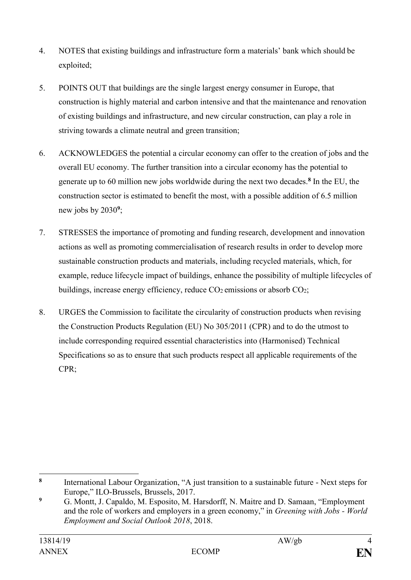- 4. NOTES that existing buildings and infrastructure form a materials' bank which should be exploited;
- 5. POINTS OUT that buildings are the single largest energy consumer in Europe, that construction is highly material and carbon intensive and that the maintenance and renovation of existing buildings and infrastructure, and new circular construction, can play a role in striving towards a climate neutral and green transition;
- 6. ACKNOWLEDGES the potential a circular economy can offer to the creation of jobs and the overall EU economy. The further transition into a circular economy has the potential to generate up to 60 million new jobs worldwide during the next two decades.**<sup>8</sup>** In the EU, the construction sector is estimated to benefit the most, with a possible addition of 6.5 million new jobs by 2030**<sup>9</sup>** ;
- 7. STRESSES the importance of promoting and funding research, development and innovation actions as well as promoting commercialisation of research results in order to develop more sustainable construction products and materials, including recycled materials, which, for example, reduce lifecycle impact of buildings, enhance the possibility of multiple lifecycles of buildings, increase energy efficiency, reduce  $CO_2$  emissions or absorb  $CO_2$ ;
- 8. URGES the Commission to facilitate the circularity of construction products when revising the Construction Products Regulation (EU) No 305/2011 (CPR) and to do the utmost to include corresponding required essential characteristics into (Harmonised) Technical Specifications so as to ensure that such products respect all applicable requirements of the CPR;

1

**<sup>8</sup>** International Labour Organization, "A just transition to a sustainable future - Next steps for Europe," ILO-Brussels, Brussels, 2017.

**<sup>9</sup>** G. Montt, J. Capaldo, M. Esposito, M. Harsdorff, N. Maitre and D. Samaan, "Employment and the role of workers and employers in a green economy," in *Greening with Jobs - World Employment and Social Outlook 2018*, 2018.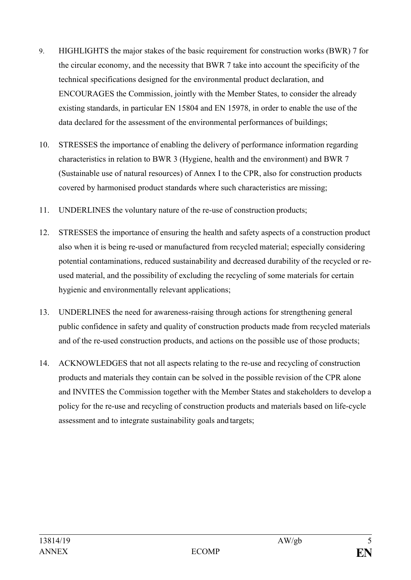- 9. HIGHLIGHTS the major stakes of the basic requirement for construction works (BWR) 7 for the circular economy, and the necessity that BWR 7 take into account the specificity of the technical specifications designed for the environmental product declaration, and ENCOURAGES the Commission, jointly with the Member States, to consider the already existing standards, in particular EN 15804 and EN 15978, in order to enable the use of the data declared for the assessment of the environmental performances of buildings;
- 10. STRESSES the importance of enabling the delivery of performance information regarding characteristics in relation to BWR 3 (Hygiene, health and the environment) and BWR 7 (Sustainable use of natural resources) of Annex I to the CPR, also for construction products covered by harmonised product standards where such characteristics are missing;
- 11. UNDERLINES the voluntary nature of the re-use of construction products;
- 12. STRESSES the importance of ensuring the health and safety aspects of a construction product also when it is being re-used or manufactured from recycled material; especially considering potential contaminations, reduced sustainability and decreased durability of the recycled or reused material, and the possibility of excluding the recycling of some materials for certain hygienic and environmentally relevant applications;
- 13. UNDERLINES the need for awareness-raising through actions for strengthening general public confidence in safety and quality of construction products made from recycled materials and of the re-used construction products, and actions on the possible use of those products;
- 14. ACKNOWLEDGES that not all aspects relating to the re-use and recycling of construction products and materials they contain can be solved in the possible revision of the CPR alone and INVITES the Commission together with the Member States and stakeholders to develop a policy for the re-use and recycling of construction products and materials based on life-cycle assessment and to integrate sustainability goals and targets;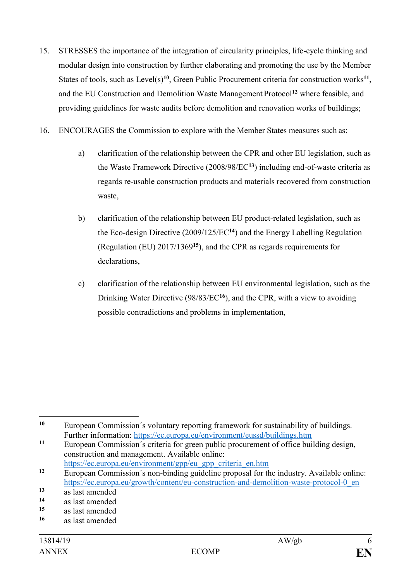- 15. STRESSES the importance of the integration of circularity principles, life-cycle thinking and modular design into construction by further elaborating and promoting the use by the Member States of tools, such as Level(s)<sup>10</sup>, Green Public Procurement criteria for construction works<sup>11</sup>, and the EU Construction and Demolition Waste Management Protocol**<sup>12</sup>** where feasible, and providing guidelines for waste audits before demolition and renovation works of buildings;
- 16. ENCOURAGES the Commission to explore with the Member States measures such as:
	- a) clarification of the relationship between the CPR and other EU legislation, such as the Waste Framework Directive (2008/98/EC**<sup>13</sup>**) including end-of-waste criteria as regards re-usable construction products and materials recovered from construction waste,
	- b) clarification of the relationship between EU product-related legislation, such as the Eco-design Directive (2009/125/EC**<sup>14</sup>**) and the Energy Labelling Regulation (Regulation (EU) 2017/1369**<sup>15</sup>**), and the CPR as regards requirements for declarations,
	- c) clarification of the relationship between EU environmental legislation, such as the Drinking Water Directive (98/83/EC**<sup>16</sup>**), and the CPR, with a view to avoiding possible contradictions and problems in implementation,

<sup>1</sup> **<sup>10</sup>** European Commission´s voluntary reporting framework for sustainability of buildings. Further information:<https://ec.europa.eu/environment/eussd/buildings.htm>

**<sup>11</sup>** European Commission´s criteria for green public procurement of office building design, construction and management. Available online: [https://ec.europa.eu/environment/gpp/eu\\_gpp\\_criteria\\_en.htm](https://ec.europa.eu/environment/gpp/eu_gpp_criteria_en.htm)

**<sup>12</sup>** European Commission´s non-binding guideline proposal for the industry. Available online: [https://ec.europa.eu/growth/content/eu-construction-and-demolition-waste-protocol-0\\_en](https://ec.europa.eu/growth/content/eu-construction-and-demolition-waste-protocol-0_en)

<sup>13</sup> as last amended

**<sup>14</sup>** as last amended

**<sup>15</sup>** as last amended

**<sup>16</sup>** as last amended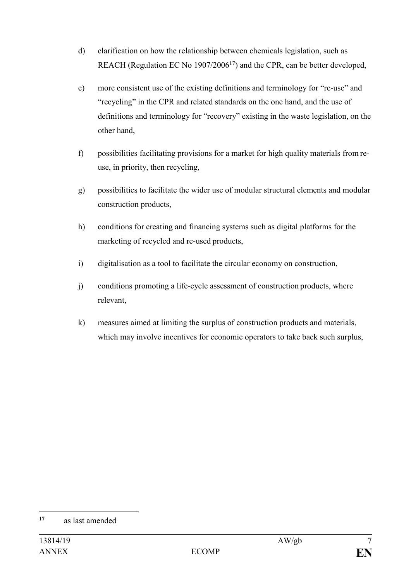- d) clarification on how the relationship between chemicals legislation, such as REACH (Regulation EC No 1907/2006**<sup>17</sup>**) and the CPR, can be better developed,
- e) more consistent use of the existing definitions and terminology for "re-use" and "recycling" in the CPR and related standards on the one hand, and the use of definitions and terminology for "recovery" existing in the waste legislation, on the other hand,
- f) possibilities facilitating provisions for a market for high quality materials from reuse, in priority, then recycling,
- g) possibilities to facilitate the wider use of modular structural elements and modular construction products,
- h) conditions for creating and financing systems such as digital platforms for the marketing of recycled and re-used products,
- i) digitalisation as a tool to facilitate the circular economy on construction,
- j) conditions promoting a life-cycle assessment of construction products, where relevant,
- k) measures aimed at limiting the surplus of construction products and materials, which may involve incentives for economic operators to take back such surplus,

1

**<sup>17</sup>** as last amended